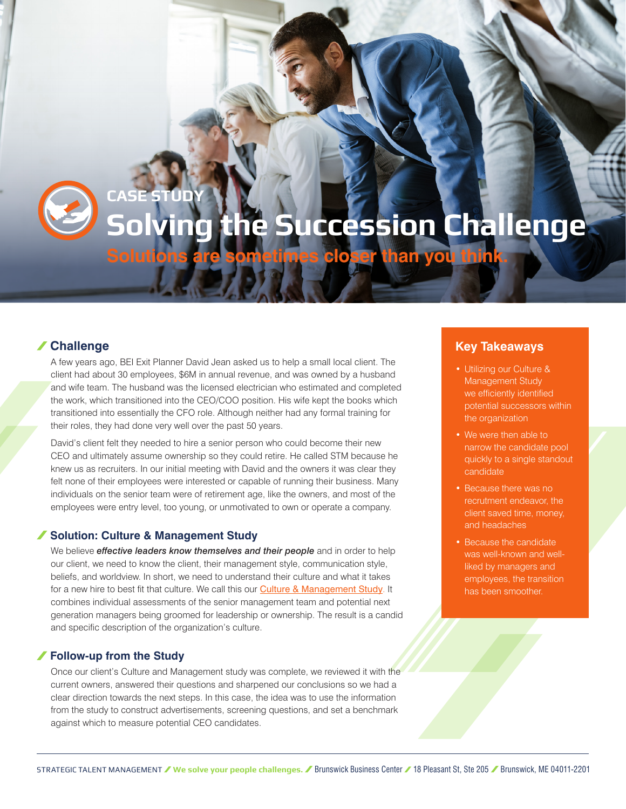

# **Solving the Succession Challenge**

**Solutions are sometimes closer than you think.**

# **Challenge**

A few years ago, BEI Exit Planner David Jean asked us to help a small local client. The client had about 30 employees, \$6M in annual revenue, and was owned by a husband and wife team. The husband was the licensed electrician who estimated and completed the work, which transitioned into the CEO/COO position. His wife kept the books which transitioned into essentially the CFO role. Although neither had any formal training for their roles, they had done very well over the past 50 years.

David's client felt they needed to hire a senior person who could become their new CEO and ultimately assume ownership so they could retire. He called STM because he knew us as recruiters. In our initial meeting with David and the owners it was clear they felt none of their employees were interested or capable of running their business. Many individuals on the senior team were of retirement age, like the owners, and most of the employees were entry level, too young, or unmotivated to own or operate a company.

## **Solution: Culture & Management Study**

**CASE STUDY**

We believe *effective leaders know themselves and their people* and in order to help our client, we need to know the client, their management style, communication style, beliefs, and worldview. In short, we need to understand their culture and what it takes for a new hire to best fit that culture. We call this our **[Culture & Management Study](https://strategictalentmgmt.com/wp-content/uploads/2019/12/stm-sample-culture-mgmt-report.pdf)**. It combines individual assessments of the senior management team and potential next generation managers being groomed for leadership or ownership. The result is a candid and specific description of the organization's culture.

## **Follow-up from the Study**

Once our client's Culture and Management study was complete, we reviewed it with the current owners, answered their questions and sharpened our conclusions so we had a clear direction towards the next steps. In this case, the idea was to use the information from the study to construct advertisements, screening questions, and set a benchmark against which to measure potential CEO candidates.

# **Key Takeaways**

- Utilizing our Culture & Management Study we efficiently identified potential successors within the organization
- We were then able to narrow the candidate pool quickly to a single standout candidate
- Because there was no recrutment endeavor, the client saved time, money, and headaches
- Because the candidate was well-known and wellliked by managers and employees, the transition has been smoother.